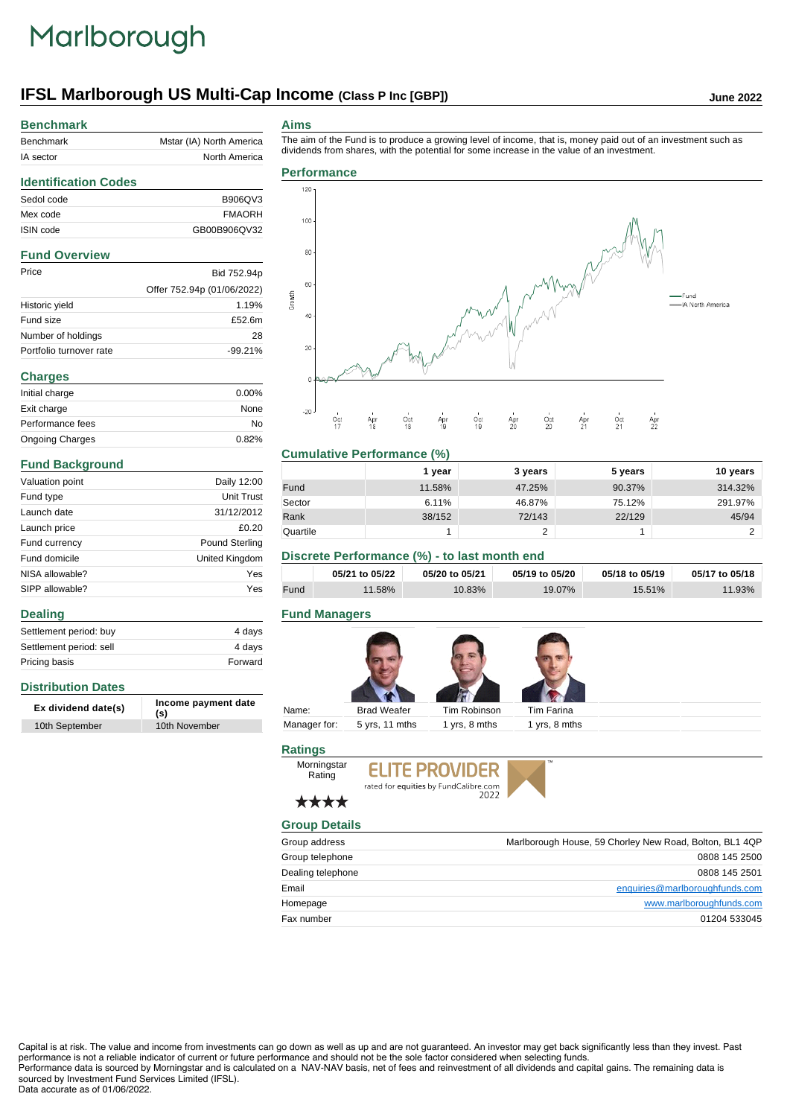# Marlborough

# **IFSL Marlborough US Multi-Cap Income** (Class P Inc [GBP]) June 2022

# **Benchmark**

| <b>Benchmark</b> | Mstar (IA) North America |  |
|------------------|--------------------------|--|
| IA sector        | North America            |  |
|                  |                          |  |

The aim of the Fund is to produce a growing level of income, that is, money paid out of an investment such as dividends from shares, with the potential for some increase in the value of an investment.

## **Identification Codes** Sedol code B906QV3 Mex code FMAORH ISIN code GB00B906QV32 **Fund Overview** Price Bid 752.94p Offer 752.94p (01/06/2022) Historic yield 1.19% Fund size **£52.6m** Number of holdings 28 Portfolio turnover rate -99.21% **Charges** Initial charge  $0.00\%$ Exit charge None

| Initial charge         | $0.00\%$ |
|------------------------|----------|
| Exit charge            | None     |
| Performance fees       | N٥       |
| <b>Ongoing Charges</b> | 0.82%    |
|                        |          |

### **Fund Background**

**Distribution Dates**

**Dealing**

| Valuation point | Daily 12:00           |
|-----------------|-----------------------|
| Fund type       | <b>Unit Trust</b>     |
| Launch date     | 31/12/2012            |
| Launch price    | £0.20                 |
| Fund currency   | <b>Pound Sterling</b> |
| Fund domicile   | United Kingdom        |
| NISA allowable? | Yes                   |
| SIPP allowable? | Yes                   |

Settlement period: buy 4 days Settlement period: sell 4 days Pricing basis **Forward** 

**Ex dividend date(s) Income payment date (s)**

10th September 10th November

#### **Aims**

**Performance** 120 100 80



#### **Cumulative Performance (%)**

|          | 1 year | 3 years | 5 years | 10 years |
|----------|--------|---------|---------|----------|
| Fund     | 11.58% | 47.25%  | 90.37%  | 314.32%  |
| Sector   | 6.11%  | 46.87%  | 75.12%  | 291.97%  |
| Rank     | 38/152 | 72/143  | 22/129  | 45/94    |
| Quartile |        |         |         |          |

## **Discrete Performance (%) - to last month end**

|      | 05/21 to 05/22 | 05/20 to 05/21 | 05/19 to 05/20 | 05/18 to 05/19 | 05/17 to 05/18 |
|------|----------------|----------------|----------------|----------------|----------------|
| Fund | 1.58%          | 10.83%         | 19.07%         | 15.51%         | $11.93\%$      |

### **Fund Managers**



### **Ratings**





## \*\*\*\*

| <b>Group Details</b> |                                                         |
|----------------------|---------------------------------------------------------|
| Group address        | Marlborough House, 59 Chorley New Road, Bolton, BL1 4QP |
| Group telephone      | 0808 145 2500                                           |
| Dealing telephone    | 0808 145 2501                                           |
| Email                | enquiries@marlboroughfunds.com                          |
| Homepage             | www.marlboroughfunds.com                                |
| Fax number           | 01204 533045                                            |

Capital is at risk. The value and income from investments can go down as well as up and are not guaranteed. An investor may get back significantly less than they invest. Past performance is not a reliable indicator of current or future performance and should not be the sole factor considered when selecting funds. Performance data is sourced by Morningstar and is calculated on a NAV-NAV basis, net of fees and reinvestment of all dividends and capital gains. The remaining data is sourced by Investment Fund Services Limited (IFSL).

#### Data accurate as of 01/06/2022.